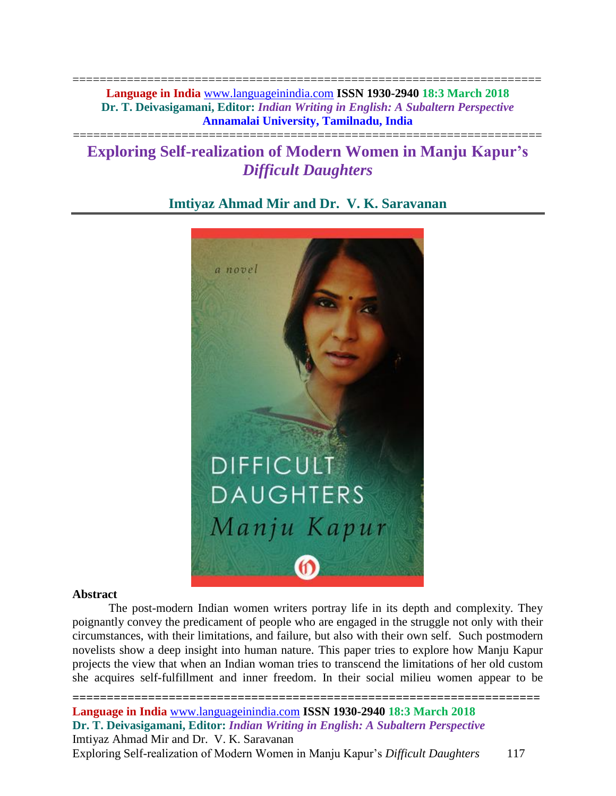===================================================================== **Language in India** [www.languageinindia.com](http://www.languageinindia.com/) **ISSN 1930-2940 18:3 March 2018 Dr. T. Deivasigamani, Editor:** *Indian Writing in English: A Subaltern Perspective* **Annamalai University, Tamilnadu, India**

# **Exploring Self-realization of Modern Women in Manju Kapur's**  *Difficult Daughters*

=====================================================================



## **Imtiyaz Ahmad Mir and Dr. V. K. Saravanan**

## **Abstract**

The post-modern Indian women writers portray life in its depth and complexity. They poignantly convey the predicament of people who are engaged in the struggle not only with their circumstances, with their limitations, and failure, but also with their own self. Such postmodern novelists show a deep insight into human nature. This paper tries to explore how Manju Kapur projects the view that when an Indian woman tries to transcend the limitations of her old custom she acquires self-fulfillment and inner freedom. In their social milieu women appear to be

**==================================================================== Language in India** [www.languageinindia.com](http://www.languageinindia.com/) **ISSN 1930-2940 18:3 March 2018 Dr. T. Deivasigamani, Editor:** *Indian Writing in English: A Subaltern Perspective* Imtiyaz Ahmad Mir and Dr. V. K. Saravanan Exploring Self-realization of Modern Women in Manju Kapur's *Difficult Daughters* 117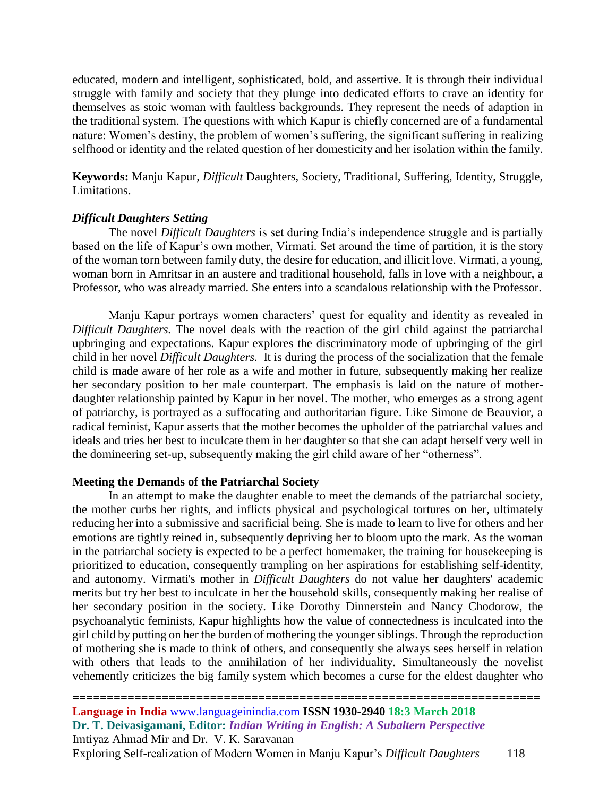educated, modern and intelligent, sophisticated, bold, and assertive. It is through their individual struggle with family and society that they plunge into dedicated efforts to crave an identity for themselves as stoic woman with faultless backgrounds. They represent the needs of adaption in the traditional system. The questions with which Kapur is chiefly concerned are of a fundamental nature: Women's destiny, the problem of women's suffering, the significant suffering in realizing selfhood or identity and the related question of her domesticity and her isolation within the family.

**Keywords:** Manju Kapur, *Difficult* Daughters, Society, Traditional, Suffering, Identity, Struggle, Limitations.

## *Difficult Daughters Setting*

The novel *Difficult Daughters* is set during India's independence struggle and is partially based on the life of Kapur's own mother, Virmati. Set around the time of partition, it is the story of the woman torn between family duty, the desire for education, and illicit love. Virmati, a young, woman born in Amritsar in an austere and traditional household, falls in love with a neighbour, a Professor, who was already married. She enters into a scandalous relationship with the Professor.

Manju Kapur portrays women characters' quest for equality and identity as revealed in *Difficult Daughters.* The novel deals with the reaction of the girl child against the patriarchal upbringing and expectations. Kapur explores the discriminatory mode of upbringing of the girl child in her novel *Difficult Daughters.* It is during the process of the socialization that the female child is made aware of her role as a wife and mother in future, subsequently making her realize her secondary position to her male counterpart. The emphasis is laid on the nature of motherdaughter relationship painted by Kapur in her novel. The mother, who emerges as a strong agent of patriarchy, is portrayed as a suffocating and authoritarian figure. Like Simone de Beauvior, a radical feminist, Kapur asserts that the mother becomes the upholder of the patriarchal values and ideals and tries her best to inculcate them in her daughter so that she can adapt herself very well in the domineering set-up, subsequently making the girl child aware of her "otherness".

## **Meeting the Demands of the Patriarchal Society**

In an attempt to make the daughter enable to meet the demands of the patriarchal society, the mother curbs her rights, and inflicts physical and psychological tortures on her, ultimately reducing her into a submissive and sacrificial being. She is made to learn to live for others and her emotions are tightly reined in, subsequently depriving her to bloom upto the mark. As the woman in the patriarchal society is expected to be a perfect homemaker, the training for housekeeping is prioritized to education, consequently trampling on her aspirations for establishing self-identity, and autonomy. Virmati's mother in *Difficult Daughters* do not value her daughters' academic merits but try her best to inculcate in her the household skills, consequently making her realise of her secondary position in the society. Like Dorothy Dinnerstein and Nancy Chodorow, the psychoanalytic feminists, Kapur highlights how the value of connectedness is inculcated into the girl child by putting on her the burden of mothering the younger siblings. Through the reproduction of mothering she is made to think of others, and consequently she always sees herself in relation with others that leads to the annihilation of her individuality. Simultaneously the novelist vehemently criticizes the big family system which becomes a curse for the eldest daughter who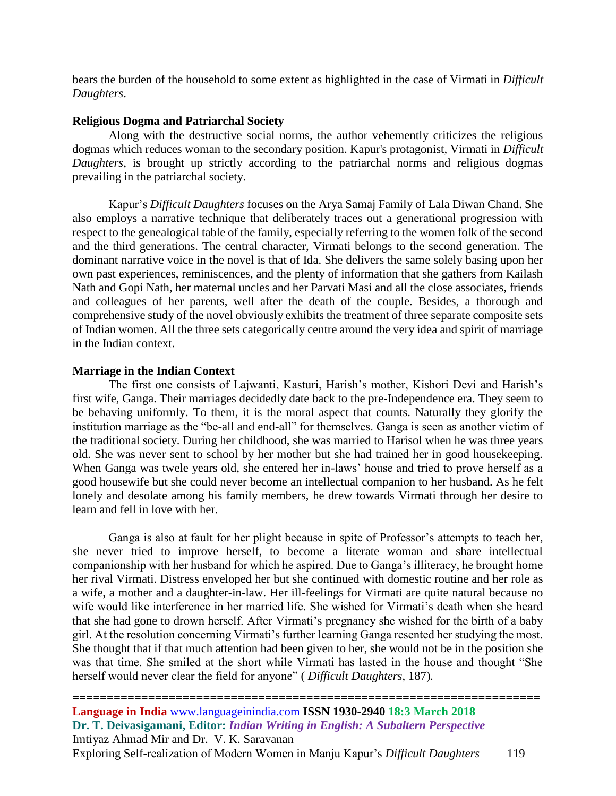bears the burden of the household to some extent as highlighted in the case of Virmati in *Difficult Daughters*.

#### **Religious Dogma and Patriarchal Society**

Along with the destructive social norms, the author vehemently criticizes the religious dogmas which reduces woman to the secondary position. Kapur's protagonist, Virmati in *Difficult Daughters*, is brought up strictly according to the patriarchal norms and religious dogmas prevailing in the patriarchal society.

Kapur's *Difficult Daughters* focuses on the Arya Samaj Family of Lala Diwan Chand. She also employs a narrative technique that deliberately traces out a generational progression with respect to the genealogical table of the family, especially referring to the women folk of the second and the third generations. The central character, Virmati belongs to the second generation. The dominant narrative voice in the novel is that of Ida. She delivers the same solely basing upon her own past experiences, reminiscences, and the plenty of information that she gathers from Kailash Nath and Gopi Nath, her maternal uncles and her Parvati Masi and all the close associates, friends and colleagues of her parents, well after the death of the couple. Besides, a thorough and comprehensive study of the novel obviously exhibits the treatment of three separate composite sets of Indian women. All the three sets categorically centre around the very idea and spirit of marriage in the Indian context.

## **Marriage in the Indian Context**

The first one consists of Lajwanti, Kasturi, Harish's mother, Kishori Devi and Harish's first wife, Ganga. Their marriages decidedly date back to the pre-Independence era. They seem to be behaving uniformly. To them, it is the moral aspect that counts. Naturally they glorify the institution marriage as the "be-all and end-all" for themselves. Ganga is seen as another victim of the traditional society. During her childhood, she was married to Harisol when he was three years old. She was never sent to school by her mother but she had trained her in good housekeeping. When Ganga was twele years old, she entered her in-laws' house and tried to prove herself as a good housewife but she could never become an intellectual companion to her husband. As he felt lonely and desolate among his family members, he drew towards Virmati through her desire to learn and fell in love with her.

Ganga is also at fault for her plight because in spite of Professor's attempts to teach her, she never tried to improve herself, to become a literate woman and share intellectual companionship with her husband for which he aspired. Due to Ganga's illiteracy, he brought home her rival Virmati. Distress enveloped her but she continued with domestic routine and her role as a wife, a mother and a daughter-in-law. Her ill-feelings for Virmati are quite natural because no wife would like interference in her married life. She wished for Virmati's death when she heard that she had gone to drown herself. After Virmati's pregnancy she wished for the birth of a baby girl. At the resolution concerning Virmati's further learning Ganga resented her studying the most. She thought that if that much attention had been given to her, she would not be in the position she was that time. She smiled at the short while Virmati has lasted in the house and thought "She herself would never clear the field for anyone" ( *Difficult Daughters*, 187)*.*

## **==================================================================== Language in India** [www.languageinindia.com](http://www.languageinindia.com/) **ISSN 1930-2940 18:3 March 2018 Dr. T. Deivasigamani, Editor:** *Indian Writing in English: A Subaltern Perspective* Imtiyaz Ahmad Mir and Dr. V. K. Saravanan Exploring Self-realization of Modern Women in Manju Kapur's *Difficult Daughters* 119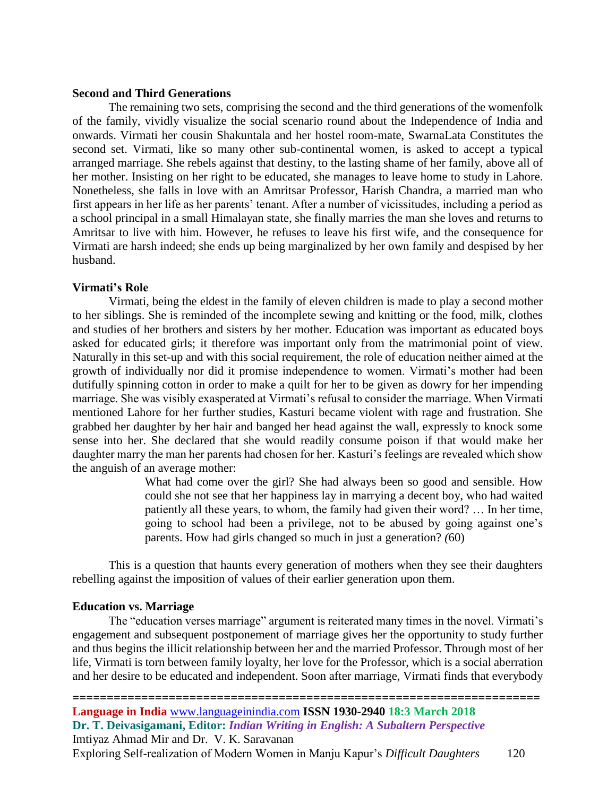#### **Second and Third Generations**

The remaining two sets, comprising the second and the third generations of the womenfolk of the family, vividly visualize the social scenario round about the Independence of India and onwards. Virmati her cousin Shakuntala and her hostel room-mate, SwarnaLata Constitutes the second set. Virmati, like so many other sub-continental women, is asked to accept a typical arranged marriage. She rebels against that destiny, to the lasting shame of her family, above all of her mother. Insisting on her right to be educated, she manages to leave home to study in Lahore. Nonetheless, she falls in love with an Amritsar Professor, Harish Chandra, a married man who first appears in her life as her parents' tenant. After a number of vicissitudes, including a period as a school principal in a small Himalayan state, she finally marries the man she loves and returns to Amritsar to live with him. However, he refuses to leave his first wife, and the consequence for Virmati are harsh indeed; she ends up being marginalized by her own family and despised by her husband.

## **Virmati's Role**

Virmati, being the eldest in the family of eleven children is made to play a second mother to her siblings. She is reminded of the incomplete sewing and knitting or the food, milk, clothes and studies of her brothers and sisters by her mother. Education was important as educated boys asked for educated girls; it therefore was important only from the matrimonial point of view. Naturally in this set-up and with this social requirement, the role of education neither aimed at the growth of individually nor did it promise independence to women. Virmati's mother had been dutifully spinning cotton in order to make a quilt for her to be given as dowry for her impending marriage. She was visibly exasperated at Virmati's refusal to consider the marriage. When Virmati mentioned Lahore for her further studies, Kasturi became violent with rage and frustration. She grabbed her daughter by her hair and banged her head against the wall, expressly to knock some sense into her. She declared that she would readily consume poison if that would make her daughter marry the man her parents had chosen for her. Kasturi's feelings are revealed which show the anguish of an average mother:

> What had come over the girl? She had always been so good and sensible. How could she not see that her happiness lay in marrying a decent boy, who had waited patiently all these years, to whom, the family had given their word? … In her time, going to school had been a privilege, not to be abused by going against one's parents. How had girls changed so much in just a generation? *(*60)

This is a question that haunts every generation of mothers when they see their daughters rebelling against the imposition of values of their earlier generation upon them.

#### **Education vs. Marriage**

The "education verses marriage" argument is reiterated many times in the novel. Virmati's engagement and subsequent postponement of marriage gives her the opportunity to study further and thus begins the illicit relationship between her and the married Professor. Through most of her life, Virmati is torn between family loyalty, her love for the Professor, which is a social aberration and her desire to be educated and independent. Soon after marriage, Virmati finds that everybody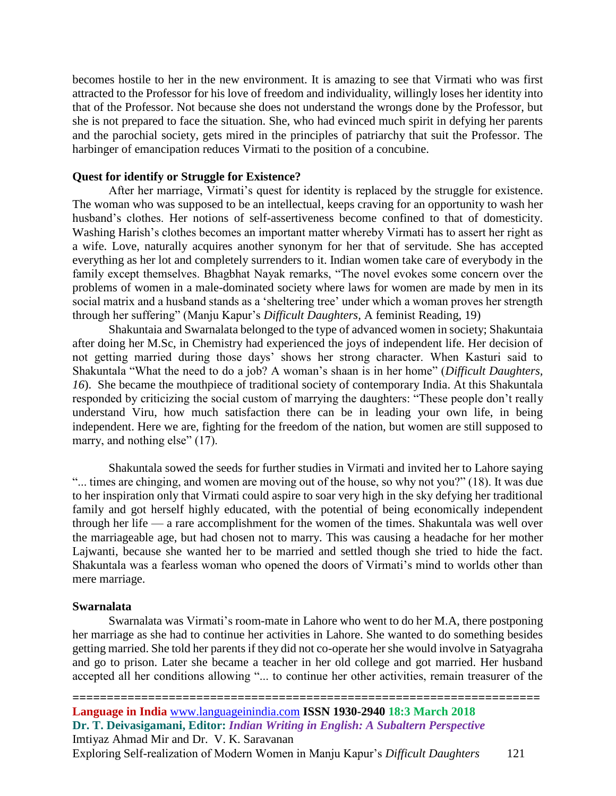becomes hostile to her in the new environment. It is amazing to see that Virmati who was first attracted to the Professor for his love of freedom and individuality, willingly loses her identity into that of the Professor. Not because she does not understand the wrongs done by the Professor, but she is not prepared to face the situation. She, who had evinced much spirit in defying her parents and the parochial society, gets mired in the principles of patriarchy that suit the Professor. The harbinger of emancipation reduces Virmati to the position of a concubine.

#### **Quest for identify or Struggle for Existence?**

After her marriage, Virmati's quest for identity is replaced by the struggle for existence. The woman who was supposed to be an intellectual, keeps craving for an opportunity to wash her husband's clothes. Her notions of self-assertiveness become confined to that of domesticity. Washing Harish's clothes becomes an important matter whereby Virmati has to assert her right as a wife. Love, naturally acquires another synonym for her that of servitude. She has accepted everything as her lot and completely surrenders to it. Indian women take care of everybody in the family except themselves. Bhagbhat Nayak remarks, "The novel evokes some concern over the problems of women in a male-dominated society where laws for women are made by men in its social matrix and a husband stands as a 'sheltering tree' under which a woman proves her strength through her suffering" (Manju Kapur's *Difficult Daughters,* A feminist Reading, 19)

Shakuntaia and Swarnalata belonged to the type of advanced women in society; Shakuntaia after doing her M.Sc, in Chemistry had experienced the joys of independent life. Her decision of not getting married during those days' shows her strong character. When Kasturi said to Shakuntala "What the need to do a job? A woman's shaan is in her home" (*Difficult Daughters, 16*). She became the mouthpiece of traditional society of contemporary India. At this Shakuntala responded by criticizing the social custom of marrying the daughters: "These people don't really understand Viru, how much satisfaction there can be in leading your own life, in being independent. Here we are, fighting for the freedom of the nation, but women are still supposed to marry, and nothing else" (17).

Shakuntala sowed the seeds for further studies in Virmati and invited her to Lahore saying "... times are chinging, and women are moving out of the house, so why not you?" (18). It was due to her inspiration only that Virmati could aspire to soar very high in the sky defying her traditional family and got herself highly educated, with the potential of being economically independent through her life — a rare accomplishment for the women of the times. Shakuntala was well over the marriageable age, but had chosen not to marry. This was causing a headache for her mother Lajwanti, because she wanted her to be married and settled though she tried to hide the fact. Shakuntala was a fearless woman who opened the doors of Virmati's mind to worlds other than mere marriage.

#### **Swarnalata**

Swarnalata was Virmati's room-mate in Lahore who went to do her M.A, there postponing her marriage as she had to continue her activities in Lahore. She wanted to do something besides getting married. She told her parents if they did not co-operate her she would involve in Satyagraha and go to prison. Later she became a teacher in her old college and got married. Her husband accepted all her conditions allowing "... to continue her other activities, remain treasurer of the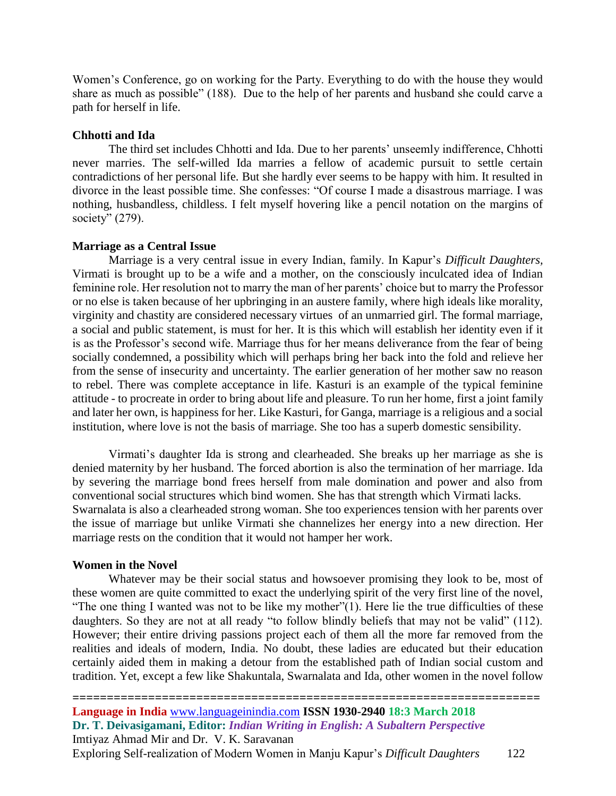Women's Conference, go on working for the Party. Everything to do with the house they would share as much as possible" (188). Due to the help of her parents and husband she could carve a path for herself in life.

#### **Chhotti and Ida**

The third set includes Chhotti and Ida. Due to her parents' unseemly indifference, Chhotti never marries. The self-willed Ida marries a fellow of academic pursuit to settle certain contradictions of her personal life. But she hardly ever seems to be happy with him. It resulted in divorce in the least possible time. She confesses: "Of course I made a disastrous marriage. I was nothing, husbandless, childless. I felt myself hovering like a pencil notation on the margins of society" (279).

#### **Marriage as a Central Issue**

Marriage is a very central issue in every Indian, family. In Kapur's *Difficult Daughters,*  Virmati is brought up to be a wife and a mother, on the consciously inculcated idea of Indian feminine role. Her resolution not to marry the man of her parents' choice but to marry the Professor or no else is taken because of her upbringing in an austere family, where high ideals like morality, virginity and chastity are considered necessary virtues of an unmarried girl. The formal marriage, a social and public statement, is must for her. It is this which will establish her identity even if it is as the Professor's second wife. Marriage thus for her means deliverance from the fear of being socially condemned, a possibility which will perhaps bring her back into the fold and relieve her from the sense of insecurity and uncertainty. The earlier generation of her mother saw no reason to rebel. There was complete acceptance in life. Kasturi is an example of the typical feminine attitude - to procreate in order to bring about life and pleasure. To run her home, first a joint family and later her own, is happiness for her. Like Kasturi, for Ganga, marriage is a religious and a social institution, where love is not the basis of marriage. She too has a superb domestic sensibility.

Virmati's daughter Ida is strong and clearheaded. She breaks up her marriage as she is denied maternity by her husband. The forced abortion is also the termination of her marriage. Ida by severing the marriage bond frees herself from male domination and power and also from conventional social structures which bind women. She has that strength which Virmati lacks. Swarnalata is also a clearheaded strong woman. She too experiences tension with her parents over the issue of marriage but unlike Virmati she channelizes her energy into a new direction. Her marriage rests on the condition that it would not hamper her work.

#### **Women in the Novel**

Whatever may be their social status and howsoever promising they look to be, most of these women are quite committed to exact the underlying spirit of the very first line of the novel, "The one thing I wanted was not to be like my mother"(1). Here lie the true difficulties of these daughters. So they are not at all ready "to follow blindly beliefs that may not be valid" (112). However; their entire driving passions project each of them all the more far removed from the realities and ideals of modern, India. No doubt, these ladies are educated but their education certainly aided them in making a detour from the established path of Indian social custom and tradition. Yet, except a few like Shakuntala, Swarnalata and Ida, other women in the novel follow